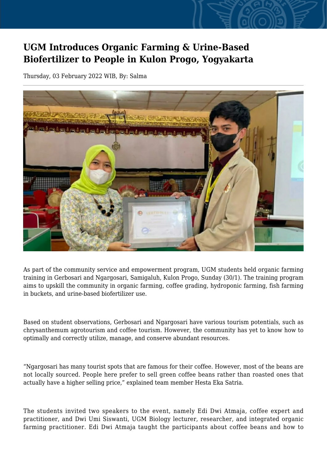## **UGM Introduces Organic Farming & Urine-Based Biofertilizer to People in Kulon Progo, Yogyakarta**

Thursday, 03 February 2022 WIB, By: Salma



As part of the community service and empowerment program, UGM students held organic farming training in Gerbosari and Ngargosari, Samigaluh, Kulon Progo, Sunday (30/1). The training program aims to upskill the community in organic farming, coffee grading, hydroponic farming, fish farming in buckets, and urine-based biofertilizer use.

Based on student observations, Gerbosari and Ngargosari have various tourism potentials, such as chrysanthemum agrotourism and coffee tourism. However, the community has yet to know how to optimally and correctly utilize, manage, and conserve abundant resources.

"Ngargosari has many tourist spots that are famous for their coffee. However, most of the beans are not locally sourced. People here prefer to sell green coffee beans rather than roasted ones that actually have a higher selling price," explained team member Hesta Eka Satria.

The students invited two speakers to the event, namely Edi Dwi Atmaja, coffee expert and practitioner, and Dwi Umi Siswanti, UGM Biology lecturer, researcher, and integrated organic farming practitioner. Edi Dwi Atmaja taught the participants about coffee beans and how to